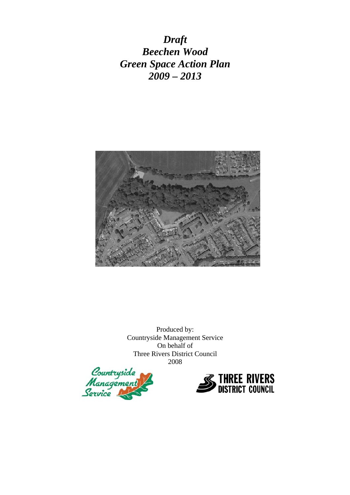*Draft Beechen Wood Green Space Action Plan 2009 – 2013* 



Produced by: Countryside Management Service On behalf of Three Rivers District Council 2008



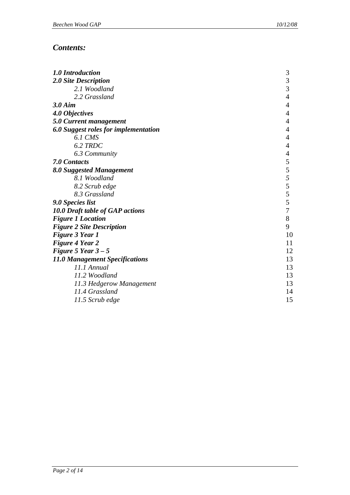# *Contents:*

| 1.0 Introduction                                             | 3                        |
|--------------------------------------------------------------|--------------------------|
| 2.0 Site Description                                         | 3                        |
| 2.1 Woodland                                                 | 3                        |
| 2.2 Grassland                                                | $\overline{\mathcal{L}}$ |
| $3.0$ Aim                                                    | $\overline{4}$           |
| 4.0 Objectives                                               | $\overline{4}$           |
| 5.0 Current management                                       | 4                        |
| 6.0 Suggest roles for implementation                         | $\overline{4}$           |
| 6.1 CMS                                                      | $\overline{4}$           |
| 6.2 TRDC                                                     | $\overline{4}$           |
| 6.3 Community                                                | 4                        |
| 7.0 Contacts                                                 | 5                        |
| 8.0 Suggested Management                                     |                          |
| 8.1 Woodland                                                 | $rac{5}{5}$              |
| 8.2 Scrub edge                                               | 5                        |
| 8.3 Grassland                                                | 5                        |
| 9.0 Species list                                             | 5                        |
| 10.0 Draft table of GAP actions                              | $\boldsymbol{7}$         |
| <b>Figure 1 Location</b>                                     | $8\,$                    |
| <b>Figure 2 Site Description</b>                             | 9                        |
| <b>Figure 3 Year 1</b>                                       | 10                       |
| <b>Figure 4 Year 2</b>                                       | 11                       |
| Figure 5 Year $3-5$                                          | 12                       |
| <b>11.0 Management Specifications</b>                        | 13                       |
| 11.1 Annual                                                  | 13                       |
|                                                              |                          |
|                                                              |                          |
| 11.4 Grassland                                               | 14                       |
|                                                              |                          |
| 11.2 Woodland<br>11.3 Hedgerow Management<br>11.5 Scrub edge | 13<br>13<br>15           |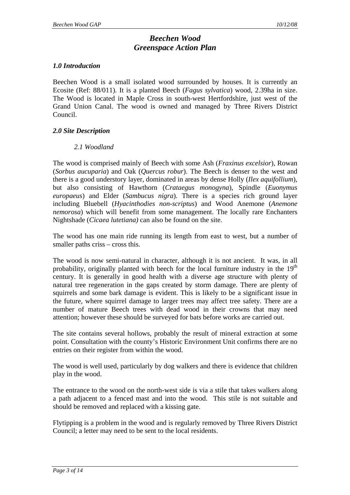# *Beechen Wood Greenspace Action Plan*

## *1.0 Introduction*

Beechen Wood is a small isolated wood surrounded by houses. It is currently an Ecosite (Ref: 88/011). It is a planted Beech (*Fagus sylvatica*) wood, 2.39ha in size. The Wood is located in Maple Cross in south-west Hertfordshire, just west of the Grand Union Canal. The wood is owned and managed by Three Rivers District Council.

### *2.0 Site Description*

# *2.1 Woodland*

The wood is comprised mainly of Beech with some Ash (*Fraxinus excelsior*), Rowan (*Sorbus aucuparia*) and Oak (*Quercus robur*). The Beech is denser to the west and there is a good understory layer, dominated in areas by dense Holly (*Ilex aquifollium*), but also consisting of Hawthorn (*Crataegus monogyna*), Spindle (*Euonymus europaeus*) and Elder (*Sambucus nigra*). There is a species rich ground layer including Bluebell (*Hyacinthodies non-scriptus*) and Wood Anemone (*Anemone nemorosa*) which will benefit from some management. The locally rare Enchanters Nightshade (*Cicaea lutetiana)* can also be found on the site.

The wood has one main ride running its length from east to west, but a number of smaller paths criss – cross this.

The wood is now semi-natural in character, although it is not ancient. It was, in all probability, originally planted with beech for the local furniture industry in the  $19<sup>th</sup>$ century. It is generally in good health with a diverse age structure with plenty of natural tree regeneration in the gaps created by storm damage. There are plenty of squirrels and some bark damage is evident. This is likely to be a significant issue in the future, where squirrel damage to larger trees may affect tree safety. There are a number of mature Beech trees with dead wood in their crowns that may need attention; however these should be surveyed for bats before works are carried out.

The site contains several hollows, probably the result of mineral extraction at some point. Consultation with the county's Historic Environment Unit confirms there are no entries on their register from within the wood.

The wood is well used, particularly by dog walkers and there is evidence that children play in the wood.

The entrance to the wood on the north-west side is via a stile that takes walkers along a path adjacent to a fenced mast and into the wood. This stile is not suitable and should be removed and replaced with a kissing gate.

Flytipping is a problem in the wood and is regularly removed by Three Rivers District Council; a letter may need to be sent to the local residents.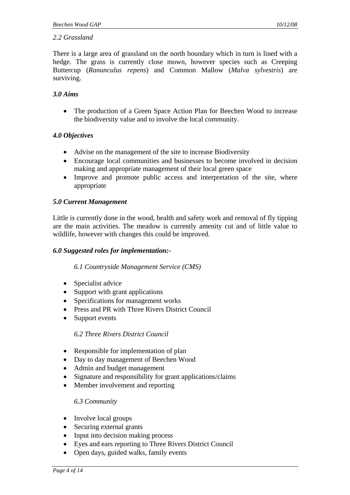# *2.2 Grassland*

There is a large area of grassland on the north boundary which in turn is lined with a hedge. The grass is currently close mown, however species such as Creeping Buttercup (*Ranunculus repens*) and Common Mallow (*Malva sylvestris*) are surviving.

## *3.0 Aims*

• The production of a Green Space Action Plan for Beechen Wood to increase the biodiversity value and to involve the local community.

### *4.0 Objectives*

- Advise on the management of the site to increase Biodiversity
- Encourage local communities and businesses to become involved in decision making and appropriate management of their local green space
- Improve and promote public access and interpretation of the site, where appropriate

# *5.0 Current Management*

Little is currently done in the wood, health and safety work and removal of fly tipping are the main activities. The meadow is currently amenity cut and of little value to wildlife, however with changes this could be improved.

#### *6.0 Suggested roles for implementation:-*

#### *6.1 Countryside Management Service (CMS)*

- Specialist advice
- Support with grant applications
- Specifications for management works
- Press and PR with Three Rivers District Council
- Support events

#### *6.2 Three Rivers District Council*

- Responsible for implementation of plan
- Day to day management of Beechen Wood
- Admin and budget management
- Signature and responsibility for grant applications/claims
- Member involvement and reporting

#### *6.3 Community*

- Involve local groups
- Securing external grants
- Input into decision making process
- Eyes and ears reporting to Three Rivers District Council
- Open days, guided walks, family events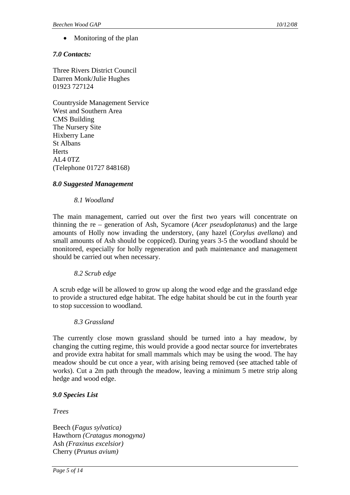Monitoring of the plan

## *7.0 Contacts:*

Three Rivers District Council Darren Monk/Julie Hughes 01923 727124

Countryside Management Service West and Southern Area CMS Building The Nursery Site Hixberry Lane St Albans **Herts** AL4 0TZ (Telephone 01727 848168)

### *8.0 Suggested Management*

### *8.1 Woodland*

The main management, carried out over the first two years will concentrate on thinning the re – generation of Ash, Sycamore (*Acer pseudoplatanus*) and the large amounts of Holly now invading the understory, (any hazel (*Corylus avellana*) and small amounts of Ash should be coppiced). During years 3-5 the woodland should be monitored, especially for holly regeneration and path maintenance and management should be carried out when necessary.

#### *8.2 Scrub edge*

A scrub edge will be allowed to grow up along the wood edge and the grassland edge to provide a structured edge habitat. The edge habitat should be cut in the fourth year to stop succession to woodland.

#### *8.3 Grassland*

The currently close mown grassland should be turned into a hay meadow, by changing the cutting regime, this would provide a good nectar source for invertebrates and provide extra habitat for small mammals which may be using the wood. The hay meadow should be cut once a year, with arising being removed (see attached table of works). Cut a 2m path through the meadow, leaving a minimum 5 metre strip along hedge and wood edge.

#### *9.0 Species List*

*Trees* 

Beech (*Fagus sylvatica)* Hawthorn *(Cratagus monogyna)* Ash *(Fraxinus excelsior)* Cherry (*Prunus avium)*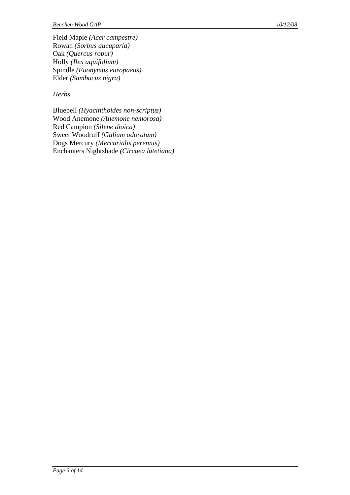Field Maple *(Acer campestre)* Rowan *(Sorbus aucuparia)* Oak *(Quercus robur)* Holly *(Ilex aquifolium)* Spindle *(Euonymus europaeus)* Elder *(Sambucus nigra)*

# *Herbs*

Bluebell *(Hyacinthoides non-scriptus)* Wood Anemone *(Anemone nemorosa)* Red Campion *(Silene dioica)* Sweet Woodruff *(Galium odoratum)* Dogs Mercury *(Mercurialis perennis)* Enchanters Nightshade *(Circaea lutetiana)*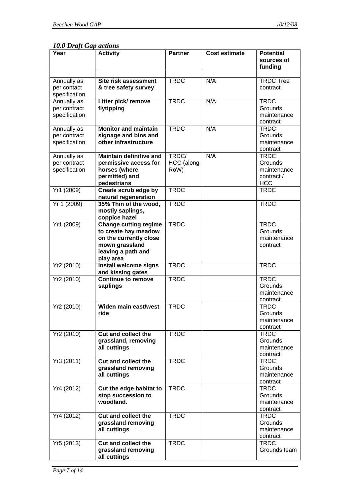*10.0 Draft Gap actions* 

| Year                                         | <b>Activity</b>                                                                                                                     | <b>Partner</b>              | <b>Cost estimate</b> | <b>Potential</b><br>sources of<br>funding                         |
|----------------------------------------------|-------------------------------------------------------------------------------------------------------------------------------------|-----------------------------|----------------------|-------------------------------------------------------------------|
|                                              |                                                                                                                                     |                             |                      |                                                                   |
| Annually as<br>per contact<br>specification  | <b>Site risk assessment</b><br>& tree safety survey                                                                                 | <b>TRDC</b>                 | N/A                  | <b>TRDC Tree</b><br>contract                                      |
| Annually as<br>per contract<br>specification | Litter pick/ remove<br>flytipping                                                                                                   | <b>TRDC</b>                 | N/A                  | <b>TRDC</b><br>Grounds<br>maintenance<br>contract                 |
| Annually as<br>per contract<br>specification | <b>Monitor and maintain</b><br>signage and bins and<br>other infrastructure                                                         | <b>TRDC</b>                 | N/A                  | <b>TRDC</b><br>Grounds<br>maintenance<br>contract                 |
| Annually as<br>per contract<br>specification | <b>Maintain definitive and</b><br>permissive access for<br>horses (where<br>permitted) and<br>pedestrians                           | TRDC/<br>HCC (along<br>RoW) | N/A                  | <b>TRDC</b><br>Grounds<br>maintenance<br>contract /<br><b>HCC</b> |
| Yr1 (2009)                                   | Create scrub edge by<br>natural regeneration                                                                                        | <b>TRDC</b>                 |                      | <b>TRDC</b>                                                       |
| Yr 1 (2009)                                  | 35% Thin of the wood,<br>mostly saplings,<br>coppice hazel                                                                          | <b>TRDC</b>                 |                      | <b>TRDC</b>                                                       |
| Yr1 (2009)                                   | <b>Change cutting regime</b><br>to create hay meadow<br>on the currently close<br>mown grassland<br>leaving a path and<br>play area | <b>TRDC</b>                 |                      | <b>TRDC</b><br>Grounds<br>maintenance<br>contract                 |
| Yr2(2010)                                    | Install welcome signs<br>and kissing gates                                                                                          | <b>TRDC</b>                 |                      | <b>TRDC</b>                                                       |
| Yr2 (2010)                                   | <b>Continue to remove</b><br>saplings                                                                                               | <b>TRDC</b>                 |                      | <b>TRDC</b><br>Grounds<br>maintenance<br>contract                 |
| Yr2 (2010)                                   | Widen main east/west<br>ride                                                                                                        | <b>TRDC</b>                 |                      | <b>TRDC</b><br>Grounds<br>maintenance<br>contract                 |
| Yr2 (2010)                                   | <b>Cut and collect the</b><br>grassland, removing<br>all cuttings                                                                   | <b>TRDC</b>                 |                      | <b>TRDC</b><br>Grounds<br>maintenance<br>contract                 |
| Yr3 (2011)                                   | <b>Cut and collect the</b><br>grassland removing<br>all cuttings                                                                    | <b>TRDC</b>                 |                      | <b>TRDC</b><br>Grounds<br>maintenance<br>contract                 |
| Yr4 (2012)                                   | Cut the edge habitat to<br>stop succession to<br>woodland.                                                                          | <b>TRDC</b>                 |                      | <b>TRDC</b><br>Grounds<br>maintenance<br>contract                 |
| Yr4 (2012)                                   | <b>Cut and collect the</b><br>grassland removing<br>all cuttings                                                                    | <b>TRDC</b>                 |                      | <b>TRDC</b><br>Grounds<br>maintenance<br>contract                 |
| Yr5 (2013)                                   | <b>Cut and collect the</b><br>grassland removing<br>all cuttings                                                                    | <b>TRDC</b>                 |                      | <b>TRDC</b><br>Grounds team                                       |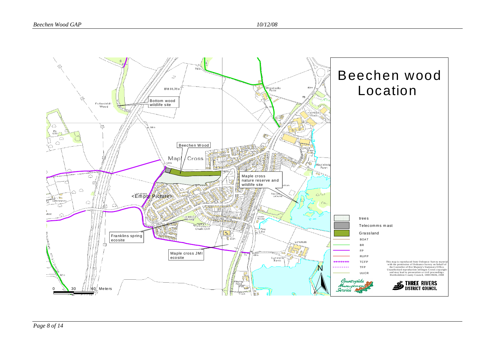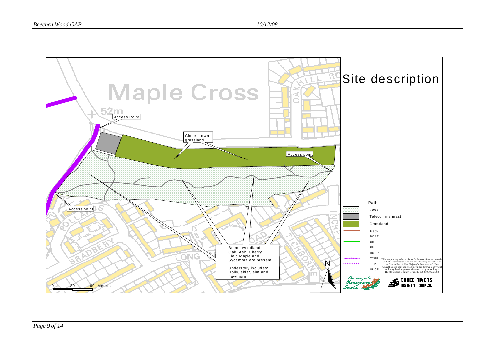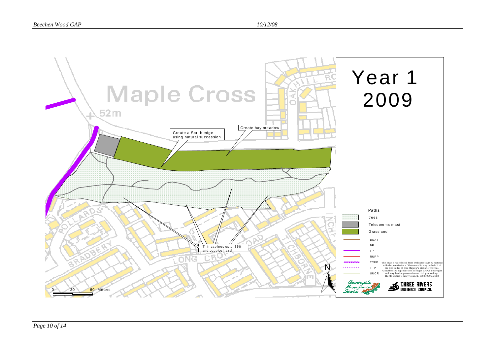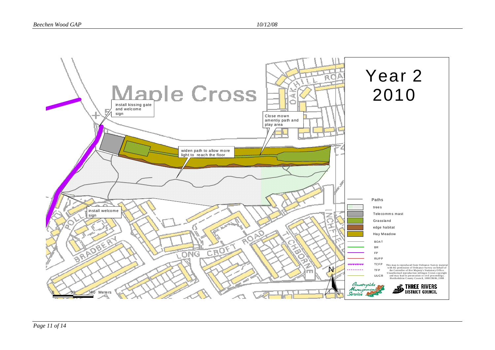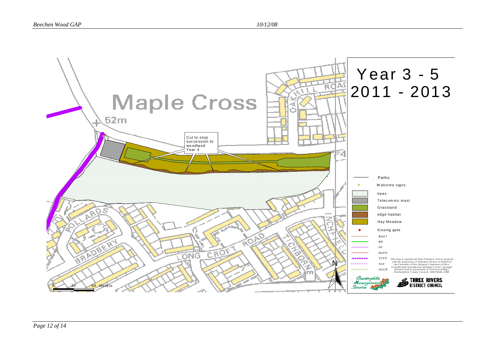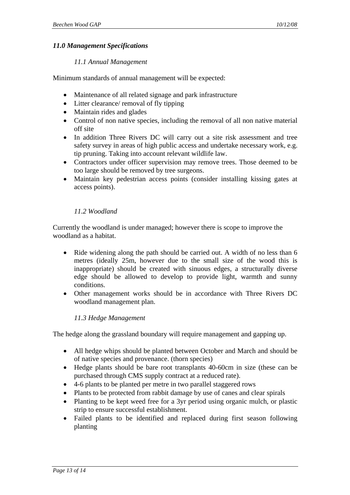# *11.0 Management Specifications*

## *11.1 Annual Management*

Minimum standards of annual management will be expected:

- Maintenance of all related signage and park infrastructure
- Litter clearance/ removal of fly tipping
- Maintain rides and glades
- Control of non native species, including the removal of all non native material off site
- In addition Three Rivers DC will carry out a site risk assessment and tree safety survey in areas of high public access and undertake necessary work, e.g. tip pruning. Taking into account relevant wildlife law.
- Contractors under officer supervision may remove trees. Those deemed to be too large should be removed by tree surgeons.
- Maintain key pedestrian access points (consider installing kissing gates at access points).

# *11.2 Woodland*

Currently the woodland is under managed; however there is scope to improve the woodland as a habitat.

- Ride widening along the path should be carried out. A width of no less than 6 metres (ideally 25m, however due to the small size of the wood this is inappropriate) should be created with sinuous edges, a structurally diverse edge should be allowed to develop to provide light, warmth and sunny conditions.
- Other management works should be in accordance with Three Rivers DC woodland management plan.

# *11.3 Hedge Management*

The hedge along the grassland boundary will require management and gapping up.

- All hedge whips should be planted between October and March and should be of native species and provenance. (thorn species)
- Hedge plants should be bare root transplants 40-60cm in size (these can be purchased through CMS supply contract at a reduced rate).
- 4-6 plants to be planted per metre in two parallel staggered rows
- Plants to be protected from rabbit damage by use of canes and clear spirals
- Planting to be kept weed free for a 3yr period using organic mulch, or plastic strip to ensure successful establishment.
- Failed plants to be identified and replaced during first season following planting